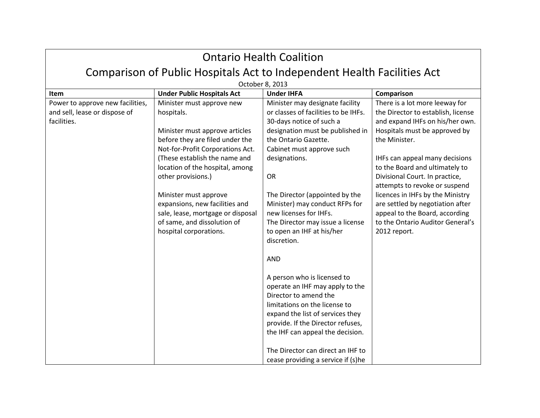| <b>Ontario Health Coalition</b>                                                  |                                                                                                                                                       |                                                                                                                                                                                                                                                                                                                  |                                                                                                                                                            |  |
|----------------------------------------------------------------------------------|-------------------------------------------------------------------------------------------------------------------------------------------------------|------------------------------------------------------------------------------------------------------------------------------------------------------------------------------------------------------------------------------------------------------------------------------------------------------------------|------------------------------------------------------------------------------------------------------------------------------------------------------------|--|
| Comparison of Public Hospitals Act to Independent Health Facilities Act          |                                                                                                                                                       |                                                                                                                                                                                                                                                                                                                  |                                                                                                                                                            |  |
| October 8, 2013                                                                  |                                                                                                                                                       |                                                                                                                                                                                                                                                                                                                  |                                                                                                                                                            |  |
| Item                                                                             | <b>Under Public Hospitals Act</b>                                                                                                                     | <b>Under IHFA</b>                                                                                                                                                                                                                                                                                                | Comparison                                                                                                                                                 |  |
| Power to approve new facilities,<br>and sell, lease or dispose of<br>facilities. | Minister must approve new<br>hospitals.                                                                                                               | Minister may designate facility<br>or classes of facilities to be IHFs.<br>30-days notice of such a                                                                                                                                                                                                              | There is a lot more leeway for<br>the Director to establish, license<br>and expand IHFs on his/her own.                                                    |  |
|                                                                                  | Minister must approve articles<br>before they are filed under the<br>Not-for-Profit Corporations Act.                                                 | designation must be published in<br>the Ontario Gazette.<br>Cabinet must approve such                                                                                                                                                                                                                            | Hospitals must be approved by<br>the Minister.                                                                                                             |  |
|                                                                                  | (These establish the name and<br>location of the hospital, among                                                                                      | designations.                                                                                                                                                                                                                                                                                                    | IHFs can appeal many decisions<br>to the Board and ultimately to                                                                                           |  |
|                                                                                  | other provisions.)                                                                                                                                    | <b>OR</b>                                                                                                                                                                                                                                                                                                        | Divisional Court. In practice,<br>attempts to revoke or suspend                                                                                            |  |
|                                                                                  | Minister must approve<br>expansions, new facilities and<br>sale, lease, mortgage or disposal<br>of same, and dissolution of<br>hospital corporations. | The Director (appointed by the<br>Minister) may conduct RFPs for<br>new licenses for IHFs.<br>The Director may issue a license<br>to open an IHF at his/her<br>discretion.<br><b>AND</b>                                                                                                                         | licences in IHFs by the Ministry<br>are settled by negotiation after<br>appeal to the Board, according<br>to the Ontario Auditor General's<br>2012 report. |  |
|                                                                                  |                                                                                                                                                       | A person who is licensed to<br>operate an IHF may apply to the<br>Director to amend the<br>limitations on the license to<br>expand the list of services they<br>provide. If the Director refuses,<br>the IHF can appeal the decision.<br>The Director can direct an IHF to<br>cease providing a service if (s)he |                                                                                                                                                            |  |

┑

 $\Gamma$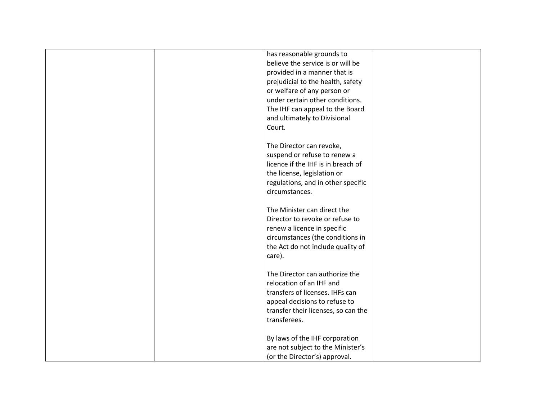|  | has reasonable grounds to           |  |
|--|-------------------------------------|--|
|  | believe the service is or will be   |  |
|  | provided in a manner that is        |  |
|  | prejudicial to the health, safety   |  |
|  | or welfare of any person or         |  |
|  | under certain other conditions.     |  |
|  | The IHF can appeal to the Board     |  |
|  | and ultimately to Divisional        |  |
|  | Court.                              |  |
|  |                                     |  |
|  | The Director can revoke,            |  |
|  | suspend or refuse to renew a        |  |
|  | licence if the IHF is in breach of  |  |
|  | the license, legislation or         |  |
|  | regulations, and in other specific  |  |
|  | circumstances.                      |  |
|  |                                     |  |
|  | The Minister can direct the         |  |
|  | Director to revoke or refuse to     |  |
|  |                                     |  |
|  | renew a licence in specific         |  |
|  | circumstances (the conditions in    |  |
|  | the Act do not include quality of   |  |
|  | care).                              |  |
|  | The Director can authorize the      |  |
|  | relocation of an IHF and            |  |
|  | transfers of licenses. IHFs can     |  |
|  | appeal decisions to refuse to       |  |
|  | transfer their licenses, so can the |  |
|  | transferees.                        |  |
|  |                                     |  |
|  | By laws of the IHF corporation      |  |
|  | are not subject to the Minister's   |  |
|  | (or the Director's) approval.       |  |
|  |                                     |  |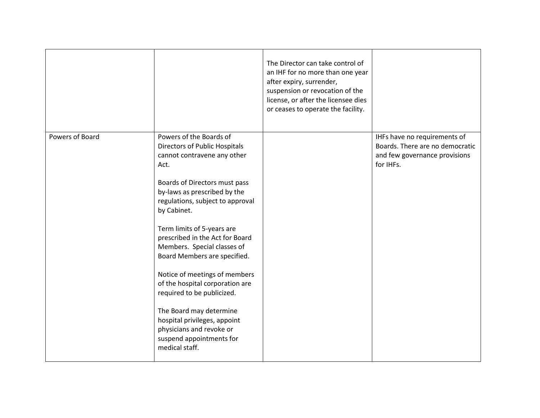|                 |                                                                                                                                                                                                                                                                                                                                                                                                                                                                                                                                                                                            | The Director can take control of<br>an IHF for no more than one year<br>after expiry, surrender,<br>suspension or revocation of the<br>license, or after the licensee dies<br>or ceases to operate the facility. |                                                                                                               |
|-----------------|--------------------------------------------------------------------------------------------------------------------------------------------------------------------------------------------------------------------------------------------------------------------------------------------------------------------------------------------------------------------------------------------------------------------------------------------------------------------------------------------------------------------------------------------------------------------------------------------|------------------------------------------------------------------------------------------------------------------------------------------------------------------------------------------------------------------|---------------------------------------------------------------------------------------------------------------|
| Powers of Board | Powers of the Boards of<br>Directors of Public Hospitals<br>cannot contravene any other<br>Act.<br>Boards of Directors must pass<br>by-laws as prescribed by the<br>regulations, subject to approval<br>by Cabinet.<br>Term limits of 5-years are<br>prescribed in the Act for Board<br>Members. Special classes of<br>Board Members are specified.<br>Notice of meetings of members<br>of the hospital corporation are<br>required to be publicized.<br>The Board may determine<br>hospital privileges, appoint<br>physicians and revoke or<br>suspend appointments for<br>medical staff. |                                                                                                                                                                                                                  | IHFs have no requirements of<br>Boards. There are no democratic<br>and few governance provisions<br>for IHFs. |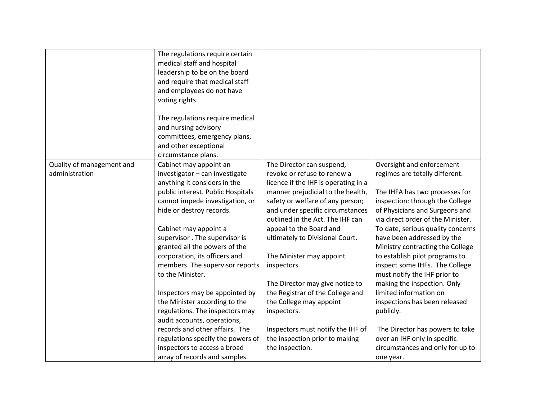|                           | The regulations require certain<br>medical staff and hospital<br>leadership to be on the board<br>and require that medical staff<br>and employees do not have<br>voting rights.<br>The regulations require medical<br>and nursing advisory<br>committees, emergency plans,<br>and other exceptional<br>circumstance plans. |                                      |                                   |
|---------------------------|----------------------------------------------------------------------------------------------------------------------------------------------------------------------------------------------------------------------------------------------------------------------------------------------------------------------------|--------------------------------------|-----------------------------------|
| Quality of management and | Cabinet may appoint an                                                                                                                                                                                                                                                                                                     | The Director can suspend,            | Oversight and enforcement         |
| administration            | investigator - can investigate                                                                                                                                                                                                                                                                                             | revoke or refuse to renew a          | regimes are totally different.    |
|                           | anything it considers in the                                                                                                                                                                                                                                                                                               | licence if the IHF is operating in a |                                   |
|                           | public interest. Public Hospitals                                                                                                                                                                                                                                                                                          | manner prejudicial to the health,    | The IHFA has two processes for    |
|                           | cannot impede investigation, or                                                                                                                                                                                                                                                                                            | safety or welfare of any person;     | inspection: through the College   |
|                           | hide or destroy records.                                                                                                                                                                                                                                                                                                   | and under specific circumstances     | of Physicians and Surgeons and    |
|                           |                                                                                                                                                                                                                                                                                                                            | outlined in the Act. The IHF can     | via direct order of the Minister. |
|                           | Cabinet may appoint a                                                                                                                                                                                                                                                                                                      | appeal to the Board and              | To date, serious quality concerns |
|                           | supervisor. The supervisor is                                                                                                                                                                                                                                                                                              | ultimately to Divisional Court.      | have been addressed by the        |
|                           | granted all the powers of the                                                                                                                                                                                                                                                                                              |                                      | Ministry contracting the College  |
|                           | corporation, its officers and                                                                                                                                                                                                                                                                                              | The Minister may appoint             | to establish pilot programs to    |
|                           | members. The supervisor reports                                                                                                                                                                                                                                                                                            | inspectors.                          | inspect some IHFs. The College    |
|                           | to the Minister.                                                                                                                                                                                                                                                                                                           |                                      | must notify the IHF prior to      |
|                           |                                                                                                                                                                                                                                                                                                                            | The Director may give notice to      | making the inspection. Only       |
|                           | Inspectors may be appointed by                                                                                                                                                                                                                                                                                             | the Registrar of the College and     | limited information on            |
|                           | the Minister according to the                                                                                                                                                                                                                                                                                              | the College may appoint              | inspections has been released     |
|                           | regulations. The inspectors may                                                                                                                                                                                                                                                                                            | inspectors.                          | publicly.                         |
|                           | audit accounts, operations,                                                                                                                                                                                                                                                                                                |                                      |                                   |
|                           | records and other affairs. The                                                                                                                                                                                                                                                                                             | Inspectors must notify the IHF of    | The Director has powers to take   |
|                           | regulations specify the powers of                                                                                                                                                                                                                                                                                          | the inspection prior to making       | over an IHF only in specific      |
|                           | inspectors to access a broad                                                                                                                                                                                                                                                                                               | the inspection.                      | circumstances and only for up to  |
|                           | array of records and samples.                                                                                                                                                                                                                                                                                              |                                      | one year.                         |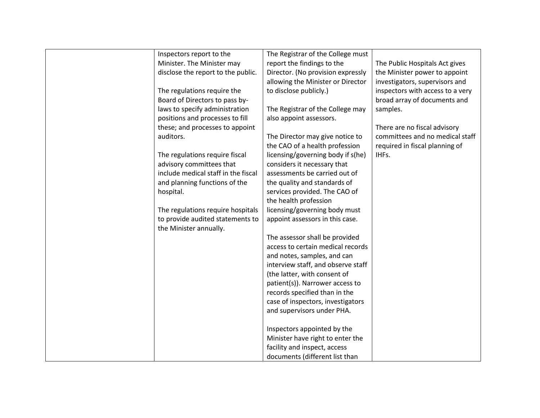| Inspectors report to the                                   | The Registrar of the College must  |                                  |
|------------------------------------------------------------|------------------------------------|----------------------------------|
| Minister. The Minister may                                 | report the findings to the         | The Public Hospitals Act gives   |
| disclose the report to the public.                         | Director. (No provision expressly  | the Minister power to appoint    |
|                                                            | allowing the Minister or Director  | investigators, supervisors and   |
| The regulations require the                                | to disclose publicly.)             | inspectors with access to a very |
| Board of Directors to pass by-                             |                                    | broad array of documents and     |
| laws to specify administration                             | The Registrar of the College may   | samples.                         |
| positions and processes to fill                            | also appoint assessors.            |                                  |
| these; and processes to appoint                            |                                    | There are no fiscal advisory     |
| auditors.                                                  | The Director may give notice to    | committees and no medical staff  |
|                                                            | the CAO of a health profession     | required in fiscal planning of   |
| The regulations require fiscal                             | licensing/governing body if s(he)  | IHFs.                            |
| advisory committees that                                   | considers it necessary that        |                                  |
| include medical staff in the fiscal                        | assessments be carried out of      |                                  |
| and planning functions of the                              | the quality and standards of       |                                  |
| hospital.                                                  | services provided. The CAO of      |                                  |
|                                                            | the health profession              |                                  |
| The regulations require hospitals                          | licensing/governing body must      |                                  |
| to provide audited statements to<br>the Minister annually. | appoint assessors in this case.    |                                  |
|                                                            | The assessor shall be provided     |                                  |
|                                                            | access to certain medical records  |                                  |
|                                                            | and notes, samples, and can        |                                  |
|                                                            | interview staff, and observe staff |                                  |
|                                                            | (the latter, with consent of       |                                  |
|                                                            | patient(s)). Narrower access to    |                                  |
|                                                            | records specified than in the      |                                  |
|                                                            | case of inspectors, investigators  |                                  |
|                                                            | and supervisors under PHA.         |                                  |
|                                                            |                                    |                                  |
|                                                            | Inspectors appointed by the        |                                  |
|                                                            | Minister have right to enter the   |                                  |
|                                                            | facility and inspect, access       |                                  |
|                                                            | documents (different list than     |                                  |
|                                                            |                                    |                                  |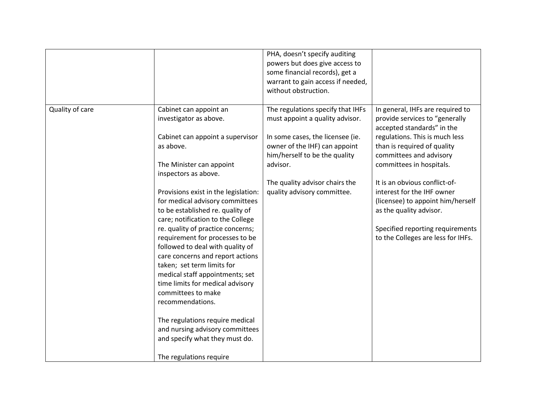|                 |                                                                                                                                                                                                                                                                                                                                                                                                                                                 | PHA, doesn't specify auditing<br>powers but does give access to<br>some financial records), get a<br>warrant to gain access if needed,<br>without obstruction. |                                                                                                                                                                                                       |
|-----------------|-------------------------------------------------------------------------------------------------------------------------------------------------------------------------------------------------------------------------------------------------------------------------------------------------------------------------------------------------------------------------------------------------------------------------------------------------|----------------------------------------------------------------------------------------------------------------------------------------------------------------|-------------------------------------------------------------------------------------------------------------------------------------------------------------------------------------------------------|
| Quality of care | Cabinet can appoint an<br>investigator as above.                                                                                                                                                                                                                                                                                                                                                                                                | The regulations specify that IHFs<br>must appoint a quality advisor.                                                                                           | In general, IHFs are required to<br>provide services to "generally<br>accepted standards" in the                                                                                                      |
|                 | Cabinet can appoint a supervisor<br>as above.                                                                                                                                                                                                                                                                                                                                                                                                   | In some cases, the licensee (ie.<br>owner of the IHF) can appoint<br>him/herself to be the quality                                                             | regulations. This is much less<br>than is required of quality<br>committees and advisory                                                                                                              |
|                 | The Minister can appoint<br>inspectors as above.                                                                                                                                                                                                                                                                                                                                                                                                | advisor.                                                                                                                                                       | committees in hospitals.                                                                                                                                                                              |
|                 | Provisions exist in the legislation:<br>for medical advisory committees<br>to be established re. quality of<br>care; notification to the College<br>re. quality of practice concerns;<br>requirement for processes to be<br>followed to deal with quality of<br>care concerns and report actions<br>taken; set term limits for<br>medical staff appointments; set<br>time limits for medical advisory<br>committees to make<br>recommendations. | The quality advisor chairs the<br>quality advisory committee.                                                                                                  | It is an obvious conflict-of-<br>interest for the IHF owner<br>(licensee) to appoint him/herself<br>as the quality advisor.<br>Specified reporting requirements<br>to the Colleges are less for IHFs. |
|                 | The regulations require medical<br>and nursing advisory committees<br>and specify what they must do.                                                                                                                                                                                                                                                                                                                                            |                                                                                                                                                                |                                                                                                                                                                                                       |
|                 | The regulations require                                                                                                                                                                                                                                                                                                                                                                                                                         |                                                                                                                                                                |                                                                                                                                                                                                       |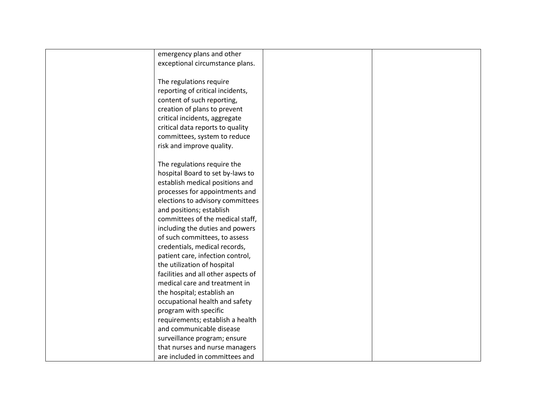| emergency plans and other           |  |
|-------------------------------------|--|
| exceptional circumstance plans.     |  |
|                                     |  |
| The regulations require             |  |
| reporting of critical incidents,    |  |
| content of such reporting,          |  |
| creation of plans to prevent        |  |
| critical incidents, aggregate       |  |
| critical data reports to quality    |  |
| committees, system to reduce        |  |
| risk and improve quality.           |  |
|                                     |  |
| The regulations require the         |  |
| hospital Board to set by-laws to    |  |
| establish medical positions and     |  |
| processes for appointments and      |  |
| elections to advisory committees    |  |
| and positions; establish            |  |
| committees of the medical staff,    |  |
| including the duties and powers     |  |
| of such committees, to assess       |  |
| credentials, medical records,       |  |
| patient care, infection control,    |  |
| the utilization of hospital         |  |
| facilities and all other aspects of |  |
| medical care and treatment in       |  |
| the hospital; establish an          |  |
| occupational health and safety      |  |
| program with specific               |  |
| requirements; establish a health    |  |
| and communicable disease            |  |
| surveillance program; ensure        |  |
| that nurses and nurse managers      |  |
| are included in committees and      |  |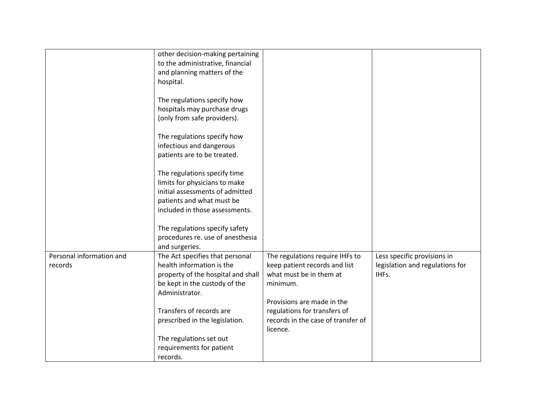|                          | other decision-making pertaining   |                                    |                                 |
|--------------------------|------------------------------------|------------------------------------|---------------------------------|
|                          | to the administrative, financial   |                                    |                                 |
|                          |                                    |                                    |                                 |
|                          | and planning matters of the        |                                    |                                 |
|                          | hospital.                          |                                    |                                 |
|                          |                                    |                                    |                                 |
|                          | The regulations specify how        |                                    |                                 |
|                          | hospitals may purchase drugs       |                                    |                                 |
|                          | (only from safe providers).        |                                    |                                 |
|                          |                                    |                                    |                                 |
|                          | The regulations specify how        |                                    |                                 |
|                          | infectious and dangerous           |                                    |                                 |
|                          | patients are to be treated.        |                                    |                                 |
|                          |                                    |                                    |                                 |
|                          | The regulations specify time       |                                    |                                 |
|                          | limits for physicians to make      |                                    |                                 |
|                          | initial assessments of admitted    |                                    |                                 |
|                          |                                    |                                    |                                 |
|                          | patients and what must be          |                                    |                                 |
|                          | included in those assessments.     |                                    |                                 |
|                          |                                    |                                    |                                 |
|                          | The regulations specify safety     |                                    |                                 |
|                          | procedures re. use of anesthesia   |                                    |                                 |
|                          | and surgeries.                     |                                    |                                 |
| Personal information and | The Act specifies that personal    | The regulations require IHFs to    | Less specific provisions in     |
| records                  | health information is the          | keep patient records and list      | legislation and regulations for |
|                          | property of the hospital and shall | what must be in them at            | IHFs.                           |
|                          | be kept in the custody of the      | minimum.                           |                                 |
|                          | Administrator.                     |                                    |                                 |
|                          |                                    | Provisions are made in the         |                                 |
|                          | Transfers of records are           | regulations for transfers of       |                                 |
|                          | prescribed in the legislation.     | records in the case of transfer of |                                 |
|                          |                                    |                                    |                                 |
|                          |                                    | licence.                           |                                 |
|                          | The regulations set out            |                                    |                                 |
|                          | requirements for patient           |                                    |                                 |
|                          | records.                           |                                    |                                 |